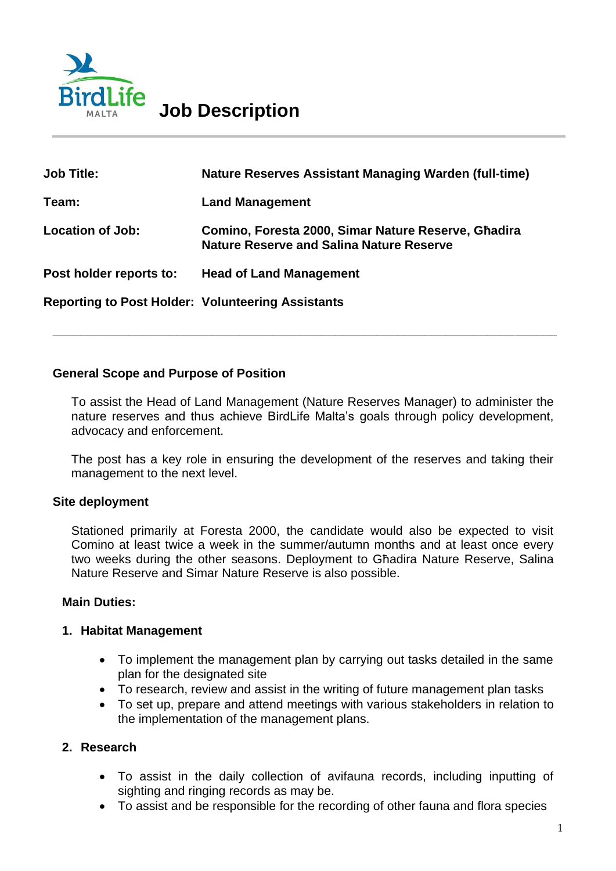

| <b>Job Title:</b>                                        | <b>Nature Reserves Assistant Managing Warden (full-time)</b>                                           |
|----------------------------------------------------------|--------------------------------------------------------------------------------------------------------|
| Team:                                                    | <b>Land Management</b>                                                                                 |
| <b>Location of Job:</b>                                  | Comino, Foresta 2000, Simar Nature Reserve, Ghadira<br><b>Nature Reserve and Salina Nature Reserve</b> |
| Post holder reports to:                                  | <b>Head of Land Management</b>                                                                         |
| <b>Reporting to Post Holder: Volunteering Assistants</b> |                                                                                                        |

#### **General Scope and Purpose of Position**

To assist the Head of Land Management (Nature Reserves Manager) to administer the nature reserves and thus achieve BirdLife Malta's goals through policy development, advocacy and enforcement.

**\_\_\_\_\_\_\_\_\_\_\_\_\_\_\_\_\_\_\_\_\_\_\_\_\_\_\_\_\_\_\_\_\_\_\_\_\_\_\_\_\_\_\_\_\_\_\_\_\_\_\_\_\_\_\_\_\_\_\_\_\_\_\_\_\_\_\_\_\_\_\_\_\_**

The post has a key role in ensuring the development of the reserves and taking their management to the next level.

#### **Site deployment**

Stationed primarily at Foresta 2000, the candidate would also be expected to visit Comino at least twice a week in the summer/autumn months and at least once every two weeks during the other seasons. Deployment to Għadira Nature Reserve, Salina Nature Reserve and Simar Nature Reserve is also possible.

#### **Main Duties:**

#### **1. Habitat Management**

- To implement the management plan by carrying out tasks detailed in the same plan for the designated site
- To research, review and assist in the writing of future management plan tasks
- To set up, prepare and attend meetings with various stakeholders in relation to the implementation of the management plans.

#### **2. Research**

- To assist in the daily collection of avifauna records, including inputting of sighting and ringing records as may be.
- To assist and be responsible for the recording of other fauna and flora species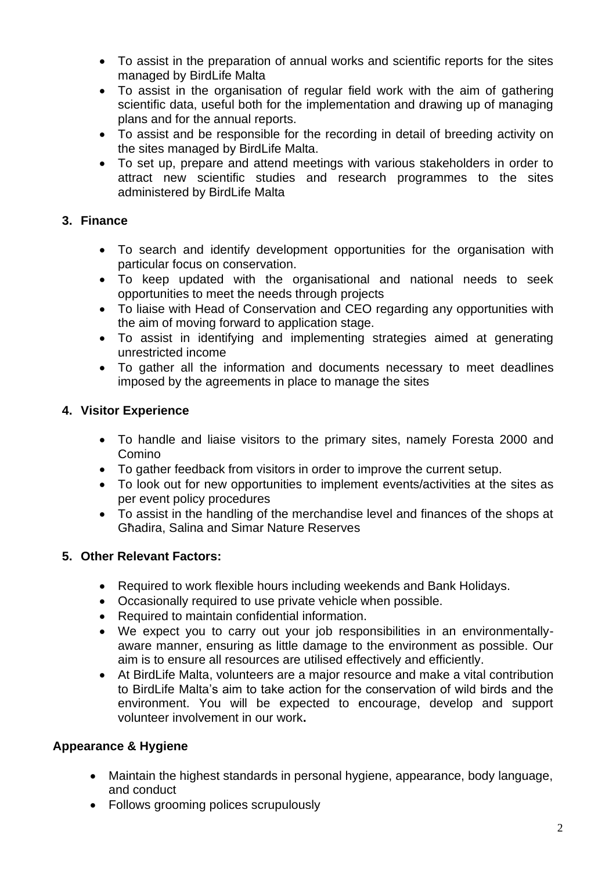- To assist in the preparation of annual works and scientific reports for the sites managed by BirdLife Malta
- To assist in the organisation of regular field work with the aim of gathering scientific data, useful both for the implementation and drawing up of managing plans and for the annual reports.
- To assist and be responsible for the recording in detail of breeding activity on the sites managed by BirdLife Malta.
- To set up, prepare and attend meetings with various stakeholders in order to attract new scientific studies and research programmes to the sites administered by BirdLife Malta

## **3. Finance**

- To search and identify development opportunities for the organisation with particular focus on conservation.
- To keep updated with the organisational and national needs to seek opportunities to meet the needs through projects
- To liaise with Head of Conservation and CEO regarding any opportunities with the aim of moving forward to application stage.
- To assist in identifying and implementing strategies aimed at generating unrestricted income
- To gather all the information and documents necessary to meet deadlines imposed by the agreements in place to manage the sites

## **4. Visitor Experience**

- To handle and liaise visitors to the primary sites, namely Foresta 2000 and Comino
- To gather feedback from visitors in order to improve the current setup.
- To look out for new opportunities to implement events/activities at the sites as per event policy procedures
- To assist in the handling of the merchandise level and finances of the shops at Għadira, Salina and Simar Nature Reserves

## **5. Other Relevant Factors:**

- Required to work flexible hours including weekends and Bank Holidays.
- Occasionally required to use private vehicle when possible.
- Required to maintain confidential information.
- We expect you to carry out your job responsibilities in an environmentallyaware manner, ensuring as little damage to the environment as possible. Our aim is to ensure all resources are utilised effectively and efficiently.
- At BirdLife Malta, volunteers are a major resource and make a vital contribution to BirdLife Malta's aim to take action for the conservation of wild birds and the environment. You will be expected to encourage, develop and support volunteer involvement in our work**.**

## **Appearance & Hygiene**

- Maintain the highest standards in personal hygiene, appearance, body language, and conduct
- Follows grooming polices scrupulously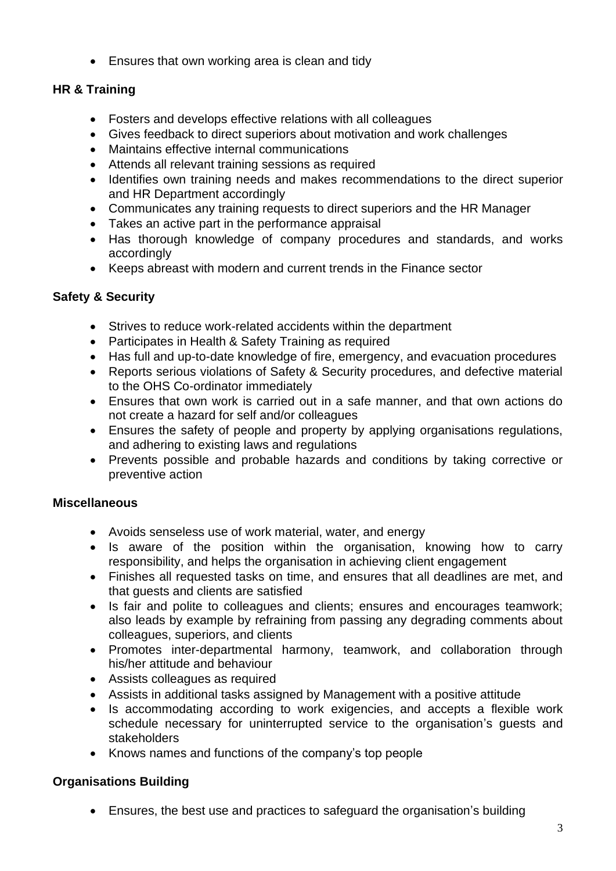• Ensures that own working area is clean and tidy

# **HR & Training**

- Fosters and develops effective relations with all colleagues
- Gives feedback to direct superiors about motivation and work challenges
- Maintains effective internal communications
- Attends all relevant training sessions as required
- Identifies own training needs and makes recommendations to the direct superior and HR Department accordingly
- Communicates any training requests to direct superiors and the HR Manager
- Takes an active part in the performance appraisal
- Has thorough knowledge of company procedures and standards, and works accordingly
- Keeps abreast with modern and current trends in the Finance sector

# **Safety & Security**

- Strives to reduce work-related accidents within the department
- Participates in Health & Safety Training as required
- Has full and up-to-date knowledge of fire, emergency, and evacuation procedures
- Reports serious violations of Safety & Security procedures, and defective material to the OHS Co-ordinator immediately
- Ensures that own work is carried out in a safe manner, and that own actions do not create a hazard for self and/or colleagues
- Ensures the safety of people and property by applying organisations regulations, and adhering to existing laws and regulations
- Prevents possible and probable hazards and conditions by taking corrective or preventive action

# **Miscellaneous**

- Avoids senseless use of work material, water, and energy
- Is aware of the position within the organisation, knowing how to carry responsibility, and helps the organisation in achieving client engagement
- Finishes all requested tasks on time, and ensures that all deadlines are met, and that guests and clients are satisfied
- Is fair and polite to colleagues and clients; ensures and encourages teamwork; also leads by example by refraining from passing any degrading comments about colleagues, superiors, and clients
- Promotes inter-departmental harmony, teamwork, and collaboration through his/her attitude and behaviour
- Assists colleagues as required
- Assists in additional tasks assigned by Management with a positive attitude
- Is accommodating according to work exigencies, and accepts a flexible work schedule necessary for uninterrupted service to the organisation's guests and stakeholders
- Knows names and functions of the company's top people

# **Organisations Building**

• Ensures, the best use and practices to safeguard the organisation's building